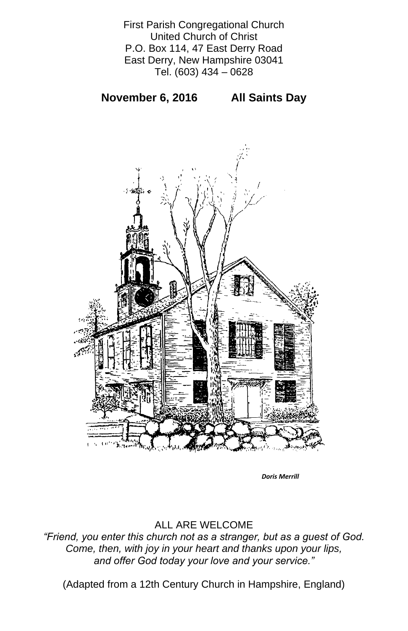First Parish Congregational Church United Church of Christ P.O. Box 114, 47 East Derry Road East Derry, New Hampshire 03041 Tel. (603) 434 – 0628

**November 6, 2016 All Saints Day** 



#### ALL ARE WELCOME

*"Friend, you enter this church not as a stranger, but as a guest of God. Come, then, with joy in your heart and thanks upon your lips, and offer God today your love and your service."*

(Adapted from a 12th Century Church in Hampshire, England)

*Doris Merrill*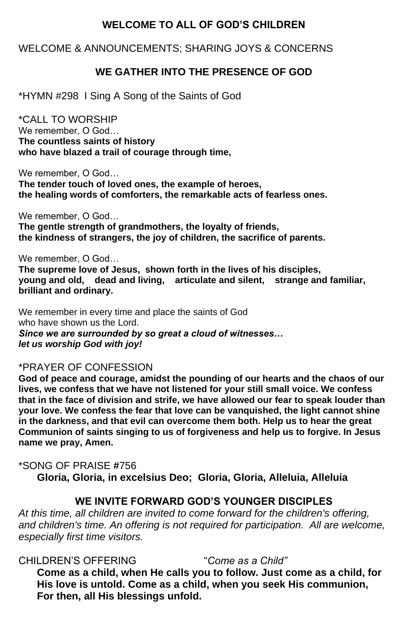## **WELCOME TO ALL OF GOD'S CHILDREN**

## WELCOME & ANNOUNCEMENTS; SHARING JOYS & CONCERNS

## **WE GATHER INTO THE PRESENCE OF GOD**

\*HYMN #298 I Sing A Song of the Saints of God

\*CALL TO WORSHIP We remember, O God… **The countless saints of history who have blazed a trail of courage through time,** 

We remember, O God…

**The tender touch of loved ones, the example of heroes, the healing words of comforters, the remarkable acts of fearless ones.** 

We remember, O God…

**The gentle strength of grandmothers, the loyalty of friends, the kindness of strangers, the joy of children, the sacrifice of parents.** 

We remember, O God… **The supreme love of Jesus, shown forth in the lives of his disciples, young and old, dead and living, articulate and silent, strange and familiar, brilliant and ordinary.** 

We remember in every time and place the saints of God who have shown us the Lord. *Since we are surrounded by so great a cloud of witnesses… let us worship God with joy!*

#### \*PRAYER OF CONFESSION

**God of peace and courage, amidst the pounding of our hearts and the chaos of our lives, we confess that we have not listened for your still small voice. We confess that in the face of division and strife, we have allowed our fear to speak louder than your love. We confess the fear that love can be vanquished, the light cannot shine in the darkness, and that evil can overcome them both. Help us to hear the great Communion of saints singing to us of forgiveness and help us to forgive. In Jesus name we pray, Amen.** 

# \*SONG OF PRAISE **#**756

**Gloria, Gloria, in excelsius Deo; Gloria, Gloria, Alleluia, Alleluia**

### **WE INVITE FORWARD GOD'S YOUNGER DISCIPLES**

*At this time, all children are invited to come forward for the children's offering, and children's time. An offering is not required for participation. All are welcome, especially first time visitors.*

CHILDREN'S OFFERING "*Come as a Child"* **Come as a child, when He calls you to follow. Just come as a child, for His love is untold. Come as a child, when you seek His communion, For then, all His blessings unfold.**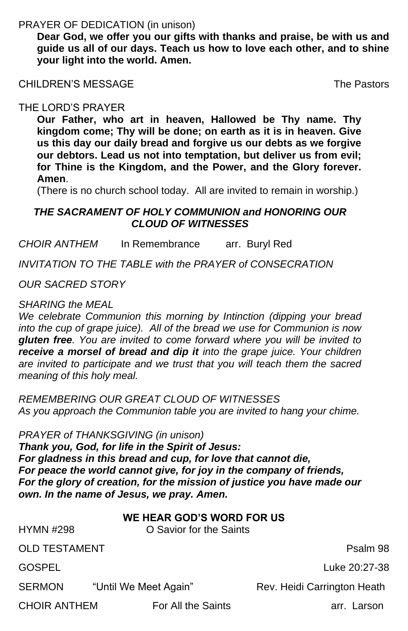PRAYER OF DEDICATION (in unison)

**Dear God, we offer you our gifts with thanks and praise, be with us and guide us all of our days. Teach us how to love each other, and to shine your light into the world. Amen.**

CHILDREN'S MESSAGE The Pastors

#### THE LORD'S PRAYER

**Our Father, who art in heaven, Hallowed be Thy name. Thy kingdom come; Thy will be done; on earth as it is in heaven. Give us this day our daily bread and forgive us our debts as we forgive our debtors. Lead us not into temptation, but deliver us from evil; for Thine is the Kingdom, and the Power, and the Glory forever. Amen**.

(There is no church school today. All are invited to remain in worship.)

### *THE SACRAMENT OF HOLY COMMUNION and HONORING OUR CLOUD OF WITNESSES*

*CHOIR ANTHEM* In Remembrance arr. Buryl Red

*INVITATION TO THE TABLE with the PRAYER of CONSECRATION*

*OUR SACRED STORY*

*SHARING the MEAL*

*We celebrate Communion this morning by Intinction (dipping your bread into the cup of grape juice). All of the bread we use for Communion is now gluten free. You are invited to come forward where you will be invited to receive a morsel of bread and dip it into the grape juice. Your children are invited to participate and we trust that you will teach them the sacred meaning of this holy meal.*

*REMEMBERING OUR GREAT CLOUD OF WITNESSES As you approach the Communion table you are invited to hang your chime.*

*PRAYER of THANKSGIVING (in unison) Thank you, God, for life in the Spirit of Jesus: For gladness in this bread and cup, for love that cannot die, For peace the world cannot give, for joy in the company of friends, For the glory of creation, for the mission of justice you have made our own. In the name of Jesus, we pray. Amen.*

#### **WE HEAR GOD'S WORD FOR US** HYMN #298 O Savior for the Saints

OLD TESTAMENT Production of the product of the Psalm 98

GOSPEL Luke 20:27-38

SERMON "Until We Meet Again" Rev. Heidi Carrington Heath CHOIR ANTHEM For All the Saints **Example 20 For All the Saints** arr. Larson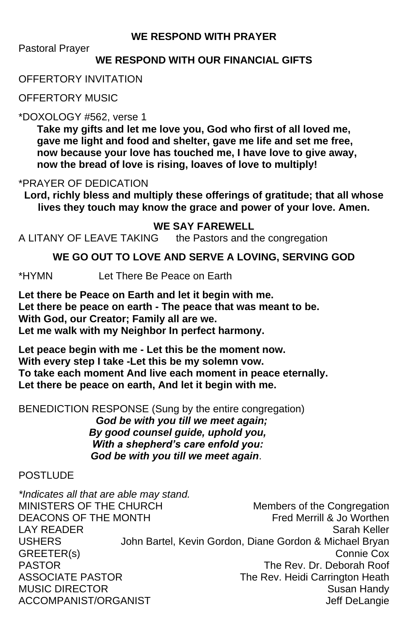## **WE RESPOND WITH PRAYER**

Pastoral Prayer

## **WE RESPOND WITH OUR FINANCIAL GIFTS**

## OFFERTORY INVITATION

OFFERTORY MUSIC

## \*DOXOLOGY #562, verse 1

**Take my gifts and let me love you, God who first of all loved me, gave me light and food and shelter, gave me life and set me free, now because your love has touched me, I have love to give away, now the bread of love is rising, loaves of love to multiply!**

## \*PRAYER OF DEDICATION

**Lord, richly bless and multiply these offerings of gratitude; that all whose lives they touch may know the grace and power of your love. Amen.**

## **WE SAY FAREWELL**

A LITANY OF LEAVE TAKING the Pastors and the congregation

## **WE GO OUT TO LOVE AND SERVE A LOVING, SERVING GOD**

*\*Indicates all that are able may stand.* MINISTERS OF THE CHURCH Members of the Congregation DEACONS OF THE MONTH Fred Merrill & Jo Worthen LAY READER Sarah Keller USHERS John Bartel, Kevin Gordon, Diane Gordon & Michael Bryan GREETER(s) Connie Cox PASTOR The Rev. Dr. Deborah Roof ASSOCIATE PASTOR The Rev. Heidi Carrington Heath MUSIC DIRECTOR Susan Handy ACCOMPANIST/ORGANIST ACCOMPANIST ACCOMPANIST ASSESSMENT ON A REPORT OF A SET OF A REPORT OF A SET OF A REPORT O

\*HYMN Let There Be Peace on Earth

**Let there be Peace on Earth and let it begin with me. Let there be peace on earth - The peace that was meant to be. With God, our Creator; Family all are we. Let me walk with my Neighbor In perfect harmony.**

**Let peace begin with me - Let this be the moment now. With every step I take -Let this be my solemn vow. To take each moment And live each moment in peace eternally. Let there be peace on earth, And let it begin with me.**

BENEDICTION RESPONSE (Sung by the entire congregation)  *God be with you till we meet again; By good counsel guide, uphold you, With a shepherd's care enfold you:*

 *God be with you till we meet again*.

#### **POSTLUDE**